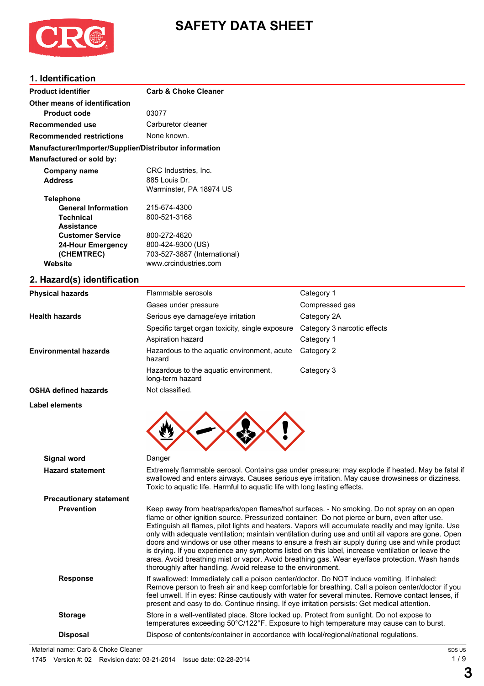

# **SAFETY DATA SHEET**

## **1. Identification**

| <b>Product identifier</b>                              | <b>Carb &amp; Choke Cleaner</b> |            |  |  |
|--------------------------------------------------------|---------------------------------|------------|--|--|
| Other means of identification                          |                                 |            |  |  |
| <b>Product code</b>                                    | 03077                           |            |  |  |
| Recommended use                                        | Carburetor cleaner              |            |  |  |
| <b>Recommended restrictions</b>                        | None known.                     |            |  |  |
| Manufacturer/Importer/Supplier/Distributor information |                                 |            |  |  |
| Manufactured or sold by:                               |                                 |            |  |  |
| Company name                                           | CRC Industries, Inc.            |            |  |  |
| <b>Address</b>                                         | 885 Louis Dr.                   |            |  |  |
|                                                        | Warminster, PA 18974 US         |            |  |  |
| <b>Telephone</b>                                       |                                 |            |  |  |
| <b>General Information</b>                             | 215-674-4300                    |            |  |  |
| <b>Technical</b>                                       | 800-521-3168                    |            |  |  |
| <b>Assistance</b>                                      |                                 |            |  |  |
| <b>Customer Service</b>                                | 800-272-4620                    |            |  |  |
| 24-Hour Emergency                                      | 800-424-9300 (US)               |            |  |  |
| (CHEMTREC)                                             | 703-527-3887 (International)    |            |  |  |
| Website                                                | www.crcindustries.com           |            |  |  |
| 2. Hazard(s) identification                            |                                 |            |  |  |
| <b>Physical hazards</b>                                | Flammable aerosols              | Category 1 |  |  |

| Filyəlcal Hazalus              | i iaililliault ativous                                                                                                                                                                                                                                                           | ∪al∈y∪i y ∣                                                                                                                                                                                                                                                                                                                                                                                                                                                                                                                                                                                                       |
|--------------------------------|----------------------------------------------------------------------------------------------------------------------------------------------------------------------------------------------------------------------------------------------------------------------------------|-------------------------------------------------------------------------------------------------------------------------------------------------------------------------------------------------------------------------------------------------------------------------------------------------------------------------------------------------------------------------------------------------------------------------------------------------------------------------------------------------------------------------------------------------------------------------------------------------------------------|
|                                | Gases under pressure                                                                                                                                                                                                                                                             | Compressed gas                                                                                                                                                                                                                                                                                                                                                                                                                                                                                                                                                                                                    |
| <b>Health hazards</b>          | Serious eye damage/eye irritation                                                                                                                                                                                                                                                | Category 2A                                                                                                                                                                                                                                                                                                                                                                                                                                                                                                                                                                                                       |
|                                | Specific target organ toxicity, single exposure                                                                                                                                                                                                                                  | Category 3 narcotic effects                                                                                                                                                                                                                                                                                                                                                                                                                                                                                                                                                                                       |
|                                | Aspiration hazard                                                                                                                                                                                                                                                                | Category 1                                                                                                                                                                                                                                                                                                                                                                                                                                                                                                                                                                                                        |
| <b>Environmental hazards</b>   | Hazardous to the aquatic environment, acute<br>hazard                                                                                                                                                                                                                            | Category 2                                                                                                                                                                                                                                                                                                                                                                                                                                                                                                                                                                                                        |
|                                | Hazardous to the aquatic environment,<br>long-term hazard                                                                                                                                                                                                                        | Category 3                                                                                                                                                                                                                                                                                                                                                                                                                                                                                                                                                                                                        |
| <b>OSHA defined hazards</b>    | Not classified.                                                                                                                                                                                                                                                                  |                                                                                                                                                                                                                                                                                                                                                                                                                                                                                                                                                                                                                   |
| <b>Label elements</b>          |                                                                                                                                                                                                                                                                                  |                                                                                                                                                                                                                                                                                                                                                                                                                                                                                                                                                                                                                   |
| Signal word                    | Danger                                                                                                                                                                                                                                                                           |                                                                                                                                                                                                                                                                                                                                                                                                                                                                                                                                                                                                                   |
| <b>Hazard statement</b>        | Extremely flammable aerosol. Contains gas under pressure; may explode if heated. May be fatal if<br>swallowed and enters airways. Causes serious eye irritation. May cause drowsiness or dizziness.<br>Toxic to aquatic life. Harmful to aquatic life with long lasting effects. |                                                                                                                                                                                                                                                                                                                                                                                                                                                                                                                                                                                                                   |
| <b>Precautionary statement</b> |                                                                                                                                                                                                                                                                                  |                                                                                                                                                                                                                                                                                                                                                                                                                                                                                                                                                                                                                   |
| <b>Prevention</b>              | flame or other ignition source. Pressurized container: Do not pierce or burn, even after use.<br>thoroughly after handling. Avoid release to the environment.                                                                                                                    | Keep away from heat/sparks/open flames/hot surfaces. - No smoking. Do not spray on an open<br>Extinguish all flames, pilot lights and heaters. Vapors will accumulate readily and may ignite. Use<br>only with adequate ventilation; maintain ventilation during use and until all vapors are gone. Open<br>doors and windows or use other means to ensure a fresh air supply during use and while product<br>is drying. If you experience any symptoms listed on this label, increase ventilation or leave the<br>area. Avoid breathing mist or vapor. Avoid breathing gas. Wear eye/face protection. Wash hands |
| <b>Response</b>                | If swallowed: Immediately call a poison center/doctor. Do NOT induce vomiting. If inhaled:                                                                                                                                                                                       | Remove person to fresh air and keep comfortable for breathing. Call a poison center/doctor if you<br>feel unwell. If in eyes: Rinse cautiously with water for several minutes. Remove contact lenses, if                                                                                                                                                                                                                                                                                                                                                                                                          |

**Storage** Store in a well-ventilated place. Store locked up. Protect from sunlight. Do not expose to

present and easy to do. Continue rinsing. If eye irritation persists: Get medical attention.

temperatures exceeding 50°C/122°F. Exposure to high temperature may cause can to burst.

**Disposal** Dispose of contents/container in accordance with local/regional/national regulations. Material name: Carb & Choke Cleaner

**3**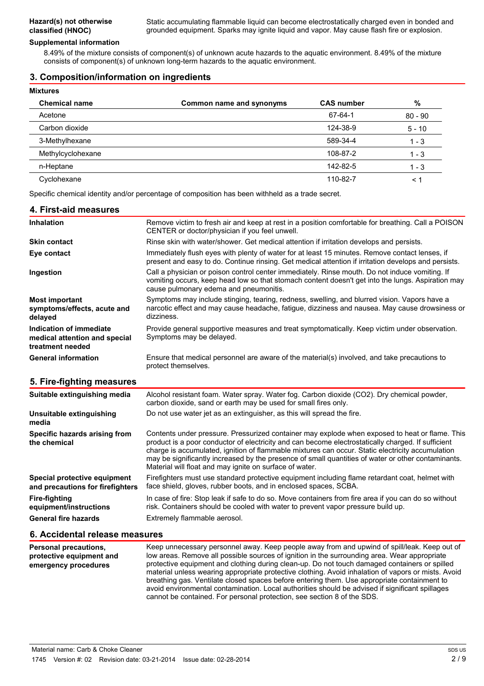#### **Supplemental information**

8.49% of the mixture consists of component(s) of unknown acute hazards to the aquatic environment. 8.49% of the mixture consists of component(s) of unknown long-term hazards to the aquatic environment.

#### **3. Composition/information on ingredients**

| <b>Mixtures</b>      |                          |                   |               |
|----------------------|--------------------------|-------------------|---------------|
| <b>Chemical name</b> | Common name and synonyms | <b>CAS number</b> | $\frac{0}{0}$ |
| Acetone              |                          | 67-64-1           | $80 - 90$     |
| Carbon dioxide       |                          | 124-38-9          | $5 - 10$      |
| 3-Methylhexane       |                          | 589-34-4          | $1 - 3$       |
| Methylcyclohexane    |                          | 108-87-2          | $1 - 3$       |
| n-Heptane            |                          | 142-82-5          | $1 - 3$       |
| Cyclohexane          |                          | 110-82-7          | < 1           |

Specific chemical identity and/or percentage of composition has been withheld as a trade secret.

| 4. First-aid measures                                                        |                                                                                                                                                                                                                                               |
|------------------------------------------------------------------------------|-----------------------------------------------------------------------------------------------------------------------------------------------------------------------------------------------------------------------------------------------|
| <b>Inhalation</b>                                                            | Remove victim to fresh air and keep at rest in a position comfortable for breathing. Call a POISON<br>CENTER or doctor/physician if you feel unwell.                                                                                          |
| <b>Skin contact</b>                                                          | Rinse skin with water/shower. Get medical attention if irritation develops and persists.                                                                                                                                                      |
| Eye contact                                                                  | Immediately flush eyes with plenty of water for at least 15 minutes. Remove contact lenses, if<br>present and easy to do. Continue rinsing. Get medical attention if irritation develops and persists.                                        |
| Ingestion                                                                    | Call a physician or poison control center immediately. Rinse mouth. Do not induce vomiting. If<br>vomiting occurs, keep head low so that stomach content doesn't get into the lungs. Aspiration may<br>cause pulmonary edema and pneumonitis. |
| <b>Most important</b><br>symptoms/effects, acute and<br>delayed              | Symptoms may include stinging, tearing, redness, swelling, and blurred vision. Vapors have a<br>narcotic effect and may cause headache, fatigue, dizziness and nausea. May cause drowsiness or<br>dizziness.                                  |
| Indication of immediate<br>medical attention and special<br>treatment needed | Provide general supportive measures and treat symptomatically. Keep victim under observation.<br>Symptoms may be delayed.                                                                                                                     |
| <b>General information</b>                                                   | Ensure that medical personnel are aware of the material(s) involved, and take precautions to<br>protect themselves.                                                                                                                           |

## **5. Fire-fighting measures**

| Suitable extinguishing media                                     | Alcohol resistant foam. Water spray. Water fog. Carbon dioxide (CO2). Dry chemical powder,<br>carbon dioxide, sand or earth may be used for small fires only.                                                                                                                                                                                                                                                                                                             |
|------------------------------------------------------------------|---------------------------------------------------------------------------------------------------------------------------------------------------------------------------------------------------------------------------------------------------------------------------------------------------------------------------------------------------------------------------------------------------------------------------------------------------------------------------|
| Unsuitable extinguishing<br>media                                | Do not use water jet as an extinguisher, as this will spread the fire.                                                                                                                                                                                                                                                                                                                                                                                                    |
| Specific hazards arising from<br>the chemical                    | Contents under pressure. Pressurized container may explode when exposed to heat or flame. This<br>product is a poor conductor of electricity and can become electrostatically charged. If sufficient<br>charge is accumulated, ignition of flammable mixtures can occur. Static electricity accumulation<br>may be significantly increased by the presence of small quantities of water or other contaminants.<br>Material will float and may ignite on surface of water. |
| Special protective equipment<br>and precautions for firefighters | Firefighters must use standard protective equipment including flame retardant coat, helmet with<br>face shield, gloves, rubber boots, and in enclosed spaces, SCBA.                                                                                                                                                                                                                                                                                                       |
| <b>Fire-fighting</b><br>equipment/instructions                   | In case of fire: Stop leak if safe to do so. Move containers from fire area if you can do so without<br>risk. Containers should be cooled with water to prevent vapor pressure build up.                                                                                                                                                                                                                                                                                  |
| <b>General fire hazards</b>                                      | Extremely flammable aerosol.                                                                                                                                                                                                                                                                                                                                                                                                                                              |

#### **6. Accidental release measures**

| <b>Personal precautions,</b><br>protective equipment and<br>emergency procedures | Keep unnecessary personnel away. Keep people away from and upwind of spill/leak. Keep out of<br>low areas. Remove all possible sources of ignition in the surrounding area. Wear appropriate<br>protective equipment and clothing during clean-up. Do not touch damaged containers or spilled<br>material unless wearing appropriate protective clothing. Avoid inhalation of vapors or mists. Avoid<br>breathing gas. Ventilate closed spaces before entering them. Use appropriate containment to<br>avoid environmental contamination. Local authorities should be advised if significant spillages |
|----------------------------------------------------------------------------------|--------------------------------------------------------------------------------------------------------------------------------------------------------------------------------------------------------------------------------------------------------------------------------------------------------------------------------------------------------------------------------------------------------------------------------------------------------------------------------------------------------------------------------------------------------------------------------------------------------|
|                                                                                  | cannot be contained. For personal protection, see section 8 of the SDS.                                                                                                                                                                                                                                                                                                                                                                                                                                                                                                                                |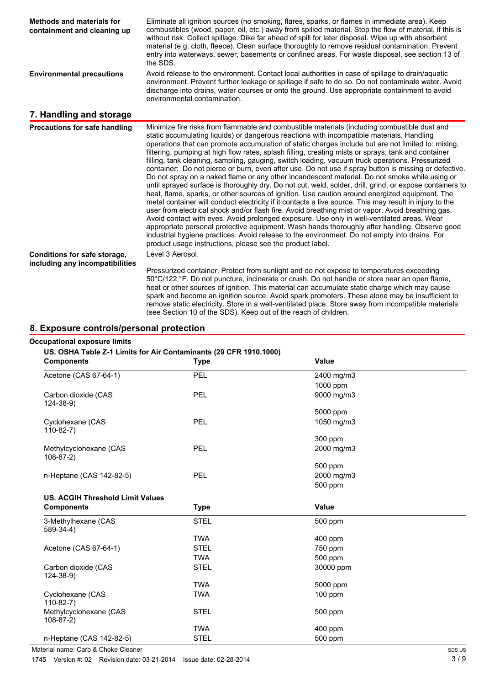| <b>Methods and materials for</b><br>containment and cleaning up | Eliminate all ignition sources (no smoking, flares, sparks, or flames in immediate area). Keep<br>combustibles (wood, paper, oil, etc.) away from spilled material. Stop the flow of material, if this is<br>without risk. Collect spillage. Dike far ahead of spill for later disposal. Wipe up with absorbent<br>material (e.g. cloth, fleece). Clean surface thoroughly to remove residual contamination. Prevent<br>entry into waterways, sewer, basements or confined areas. For waste disposal, see section 13 of<br>the SDS.                                                                                                                                                                                                                                                                                                                                                                                                                                                                                                                                                                                                                                                                                                                                                                                                                                                                                                                                                                            |
|-----------------------------------------------------------------|----------------------------------------------------------------------------------------------------------------------------------------------------------------------------------------------------------------------------------------------------------------------------------------------------------------------------------------------------------------------------------------------------------------------------------------------------------------------------------------------------------------------------------------------------------------------------------------------------------------------------------------------------------------------------------------------------------------------------------------------------------------------------------------------------------------------------------------------------------------------------------------------------------------------------------------------------------------------------------------------------------------------------------------------------------------------------------------------------------------------------------------------------------------------------------------------------------------------------------------------------------------------------------------------------------------------------------------------------------------------------------------------------------------------------------------------------------------------------------------------------------------|
| <b>Environmental precautions</b>                                | Avoid release to the environment. Contact local authorities in case of spillage to drain/aquatic<br>environment. Prevent further leakage or spillage if safe to do so. Do not contaminate water. Avoid<br>discharge into drains, water courses or onto the ground. Use appropriate containment to avoid<br>environmental contamination.                                                                                                                                                                                                                                                                                                                                                                                                                                                                                                                                                                                                                                                                                                                                                                                                                                                                                                                                                                                                                                                                                                                                                                        |
| 7. Handling and storage                                         |                                                                                                                                                                                                                                                                                                                                                                                                                                                                                                                                                                                                                                                                                                                                                                                                                                                                                                                                                                                                                                                                                                                                                                                                                                                                                                                                                                                                                                                                                                                |
| <b>Precautions for safe handling</b>                            | Minimize fire risks from flammable and combustible materials (including combustible dust and<br>static accumulating liquids) or dangerous reactions with incompatible materials. Handling<br>operations that can promote accumulation of static charges include but are not limited to: mixing,<br>filtering, pumping at high flow rates, splash filling, creating mists or sprays, tank and container<br>filling, tank cleaning, sampling, gauging, switch loading, vacuum truck operations. Pressurized<br>container: Do not pierce or burn, even after use. Do not use if spray button is missing or defective.<br>Do not spray on a naked flame or any other incandescent material. Do not smoke while using or<br>until sprayed surface is thoroughly dry. Do not cut, weld, solder, drill, grind, or expose containers to<br>heat, flame, sparks, or other sources of ignition. Use caution around energized equipment. The<br>metal container will conduct electricity if it contacts a live source. This may result in injury to the<br>user from electrical shock and/or flash fire. Avoid breathing mist or vapor. Avoid breathing gas.<br>Avoid contact with eyes. Avoid prolonged exposure. Use only in well-ventilated areas. Wear<br>appropriate personal protective equipment. Wash hands thoroughly after handling. Observe good<br>industrial hygiene practices. Avoid release to the environment. Do not empty into drains. For<br>product usage instructions, please see the product label. |
| Conditions for safe storage,<br>including any incompatibilities | Level 3 Aerosol.                                                                                                                                                                                                                                                                                                                                                                                                                                                                                                                                                                                                                                                                                                                                                                                                                                                                                                                                                                                                                                                                                                                                                                                                                                                                                                                                                                                                                                                                                               |
|                                                                 | Pressurized container. Protect from sunlight and do not expose to temperatures exceeding<br>50°C/122 °F. Do not puncture, incinerate or crush. Do not handle or store near an open flame,<br>heat or other sources of ignition. This material can accumulate static charge which may cause<br>spark and become an ignition source. Avoid spark promoters. These alone may be insufficient to<br>remove static electricity. Store in a well-ventilated place. Store away from incompatible materials<br>(see Section 10 of the SDS). Keep out of the reach of children.                                                                                                                                                                                                                                                                                                                                                                                                                                                                                                                                                                                                                                                                                                                                                                                                                                                                                                                                         |

## **8. Exposure controls/personal protection**

#### **Occupational exposure limits**

#### **US. OSHA Table Z-1 Limits for Air Contaminants (29 CFR 1910.1000)**

| <b>Components</b>                       | <b>Type</b> | Value        |
|-----------------------------------------|-------------|--------------|
| Acetone (CAS 67-64-1)                   | PEL         | 2400 mg/m3   |
|                                         |             | 1000 ppm     |
| Carbon dioxide (CAS<br>$124 - 38 - 9$   | PEL         | 9000 mg/m3   |
|                                         |             | 5000 ppm     |
| Cyclohexane (CAS<br>$110-82-7$          | <b>PEL</b>  | 1050 mg/m3   |
|                                         |             | 300 ppm      |
| Methylcyclohexane (CAS<br>$108-87-2)$   | <b>PEL</b>  | 2000 mg/m3   |
|                                         |             | 500 ppm      |
| n-Heptane (CAS 142-82-5)                | <b>PEL</b>  | 2000 mg/m3   |
|                                         |             | 500 ppm      |
| <b>US. ACGIH Threshold Limit Values</b> |             |              |
|                                         |             |              |
| <b>Components</b>                       | <b>Type</b> | <b>Value</b> |
| 3-Methylhexane (CAS<br>$589-34-4)$      | <b>STEL</b> | 500 ppm      |
|                                         | <b>TWA</b>  | 400 ppm      |
| Acetone (CAS 67-64-1)                   | <b>STEL</b> | 750 ppm      |
|                                         | <b>TWA</b>  | 500 ppm      |
| Carbon dioxide (CAS<br>$124 - 38 - 9$   | <b>STEL</b> | 30000 ppm    |
|                                         | <b>TWA</b>  | 5000 ppm     |
| Cyclohexane (CAS<br>$110-82-7$          | <b>TWA</b>  | $100$ ppm    |
| Methylcyclohexane (CAS<br>$108-87-2)$   | <b>STEL</b> | 500 ppm      |
|                                         | <b>TWA</b>  | 400 ppm      |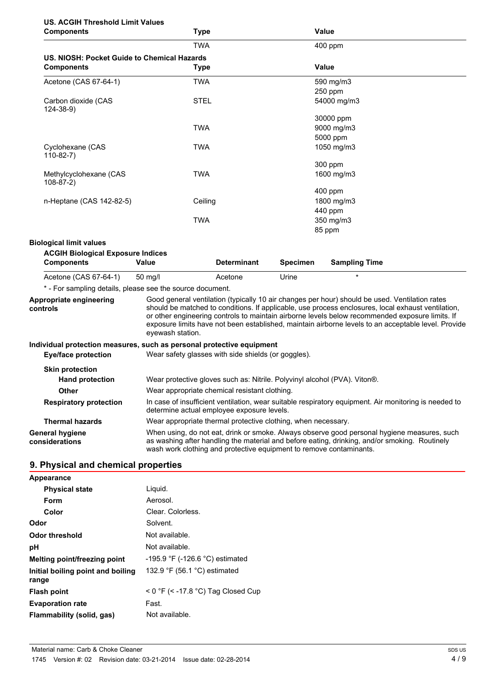## **US. ACGIH Threshold Limit Values**

| <b>Components</b>                           | <b>Type</b> | Value       |  |
|---------------------------------------------|-------------|-------------|--|
|                                             | <b>TWA</b>  | 400 ppm     |  |
| US. NIOSH: Pocket Guide to Chemical Hazards |             |             |  |
| <b>Components</b>                           | <b>Type</b> | Value       |  |
| Acetone (CAS 67-64-1)                       | TWA         | 590 mg/m3   |  |
|                                             |             | 250 ppm     |  |
| Carbon dioxide (CAS<br>$124 - 38 - 9$       | <b>STEL</b> | 54000 mg/m3 |  |
|                                             |             | 30000 ppm   |  |
|                                             | <b>TWA</b>  | 9000 mg/m3  |  |
|                                             |             | 5000 ppm    |  |
| Cyclohexane (CAS<br>$110-82-7$ )            | <b>TWA</b>  | 1050 mg/m3  |  |
|                                             |             | 300 ppm     |  |
| Methylcyclohexane (CAS<br>$108-87-2)$       | <b>TWA</b>  | 1600 mg/m3  |  |
|                                             |             | 400 ppm     |  |
| n-Heptane (CAS 142-82-5)                    | Ceiling     | 1800 mg/m3  |  |
|                                             |             | 440 ppm     |  |
|                                             | <b>TWA</b>  | 350 mg/m3   |  |
|                                             |             | 85 ppm      |  |

#### **Biological limit values**

#### **ACGIH Biological Exposure Indices**

| $1.00011$ $\geq 10.0011$ $\geq 10.0011$ $\geq 0.0110$<br><b>Components</b> | Value   | <b>Determinant</b> | Specimen | <b>Sampling Time</b> |
|----------------------------------------------------------------------------|---------|--------------------|----------|----------------------|
| Acetone (CAS 67-64-1)                                                      | 50 ma/l | Acetone            | Urine    |                      |

\* - For sampling details, please see the source document.

**Appropriate engineering controls** Good general ventilation (typically 10 air changes per hour) should be used. Ventilation rates should be matched to conditions. If applicable, use process enclosures, local exhaust ventilation, or other engineering controls to maintain airborne levels below recommended exposure limits. If exposure limits have not been established, maintain airborne levels to an acceptable level. Provide eyewash station.

#### **Individual protection measures, such as personal protective equipment**

| Eye/face protection               | Wear safety glasses with side shields (or goggles).                                                                                                                                                                                                                 |  |
|-----------------------------------|---------------------------------------------------------------------------------------------------------------------------------------------------------------------------------------------------------------------------------------------------------------------|--|
| <b>Skin protection</b>            |                                                                                                                                                                                                                                                                     |  |
| <b>Hand protection</b>            | Wear protective gloves such as: Nitrile. Polyvinyl alcohol (PVA). Viton®.                                                                                                                                                                                           |  |
| <b>Other</b>                      | Wear appropriate chemical resistant clothing.                                                                                                                                                                                                                       |  |
| <b>Respiratory protection</b>     | In case of insufficient ventilation, wear suitable respiratory equipment. Air monitoring is needed to<br>determine actual employee exposure levels.                                                                                                                 |  |
| <b>Thermal hazards</b>            | Wear appropriate thermal protective clothing, when necessary.                                                                                                                                                                                                       |  |
| General hygiene<br>considerations | When using, do not eat, drink or smoke. Always observe good personal hygiene measures, such<br>as washing after handling the material and before eating, drinking, and/or smoking. Routinely<br>wash work clothing and protective equipment to remove contaminants. |  |

## **9. Physical and chemical properties**

| Appearance                                 |                                                |
|--------------------------------------------|------------------------------------------------|
| <b>Physical state</b>                      | Liguid.                                        |
| Form                                       | Aerosol.                                       |
| Color                                      | Clear. Colorless.                              |
| Odor                                       | Solvent.                                       |
| Odor threshold                             | Not available.                                 |
| рH                                         | Not available.                                 |
| Melting point/freezing point               | $-195.9$ °F ( $-126.6$ °C) estimated           |
| Initial boiling point and boiling<br>range | 132.9 $\degree$ F (56.1 $\degree$ C) estimated |
| <b>Flash point</b>                         | $<$ 0 °F ( $<$ -17.8 °C) Tag Closed Cup        |
| <b>Evaporation rate</b>                    | Fast.                                          |
| Flammability (solid, gas)                  | Not available.                                 |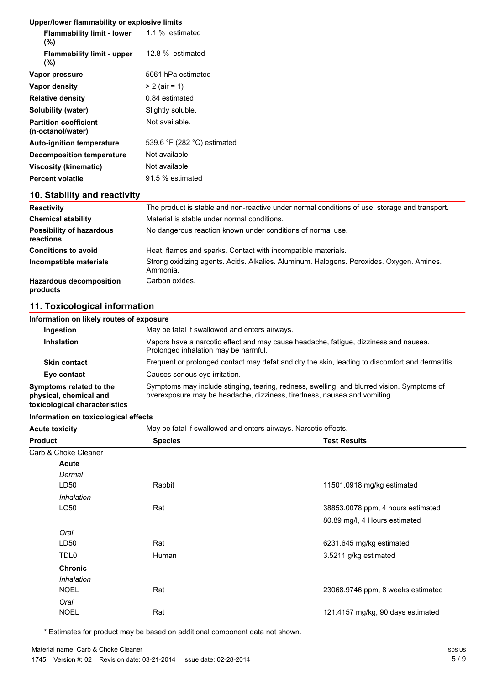#### **Upper/lower flammability or explosive limits**

| <b>Flammability limit - lower</b><br>$(\% )$      | 1.1 % estimated             |
|---------------------------------------------------|-----------------------------|
| <b>Flammability limit - upper</b><br>(%)          | 12.8 % estimated            |
| Vapor pressure                                    | 5061 hPa estimated          |
| Vapor density                                     | $> 2$ (air = 1)             |
| <b>Relative density</b>                           | 0.84 estimated              |
| Solubility (water)                                | Slightly soluble.           |
| <b>Partition coefficient</b><br>(n-octanol/water) | Not available.              |
| <b>Auto-ignition temperature</b>                  | 539.6 °F (282 °C) estimated |
| <b>Decomposition temperature</b>                  | Not available.              |
| Viscosity (kinematic)                             | Not available.              |
| <b>Percent volatile</b>                           | 91.5 % estimated            |
|                                                   |                             |

## **10. Stability and reactivity**

| <b>Reactivity</b>                            | The product is stable and non-reactive under normal conditions of use, storage and transport.        |
|----------------------------------------------|------------------------------------------------------------------------------------------------------|
| <b>Chemical stability</b>                    | Material is stable under normal conditions.                                                          |
| <b>Possibility of hazardous</b><br>reactions | No dangerous reaction known under conditions of normal use.                                          |
| <b>Conditions to avoid</b>                   | Heat, flames and sparks. Contact with incompatible materials.                                        |
| Incompatible materials                       | Strong oxidizing agents. Acids. Alkalies. Aluminum. Halogens. Peroxides. Oxygen. Amines.<br>Ammonia. |
| <b>Hazardous decomposition</b><br>products   | Carbon oxides.                                                                                       |

## **11. Toxicological information**

| Information on likely routes of exposure                                           |                                                                                                                                                                        |  |  |
|------------------------------------------------------------------------------------|------------------------------------------------------------------------------------------------------------------------------------------------------------------------|--|--|
| Ingestion                                                                          | May be fatal if swallowed and enters airways.                                                                                                                          |  |  |
| Inhalation                                                                         | Vapors have a narcotic effect and may cause headache, fatique, dizziness and nausea.<br>Prolonged inhalation may be harmful.                                           |  |  |
| <b>Skin contact</b>                                                                | Frequent or prolonged contact may defat and dry the skin, leading to discomfort and dermatitis.                                                                        |  |  |
| Eye contact                                                                        | Causes serious eve irritation.                                                                                                                                         |  |  |
| Symptoms related to the<br>physical, chemical and<br>toxicological characteristics | Symptoms may include stinging, tearing, redness, swelling, and blurred vision. Symptoms of<br>overexposure may be headache, dizziness, tiredness, nausea and vomiting. |  |  |

#### **Information on toxicological effects**

Acute toxicity **May be fatal if swallowed and enters airways. Narcotic effects.** 

| <b>Product</b>       | <b>Species</b> | <b>Test Results</b>               |
|----------------------|----------------|-----------------------------------|
| Carb & Choke Cleaner |                |                                   |
| <b>Acute</b>         |                |                                   |
| Dermal               |                |                                   |
| LD <sub>50</sub>     | Rabbit         | 11501.0918 mg/kg estimated        |
| Inhalation           |                |                                   |
| LC50                 | Rat            | 38853.0078 ppm, 4 hours estimated |
|                      |                | 80.89 mg/l, 4 Hours estimated     |
| Oral                 |                |                                   |
| LD <sub>50</sub>     | Rat            | 6231.645 mg/kg estimated          |
| TDL <sub>0</sub>     | Human          | 3.5211 g/kg estimated             |
| <b>Chronic</b>       |                |                                   |
| Inhalation           |                |                                   |
| <b>NOEL</b>          | Rat            | 23068.9746 ppm, 8 weeks estimated |
| Oral                 |                |                                   |
| <b>NOEL</b>          | Rat            | 121.4157 mg/kg, 90 days estimated |
|                      |                |                                   |

\* Estimates for product may be based on additional component data not shown.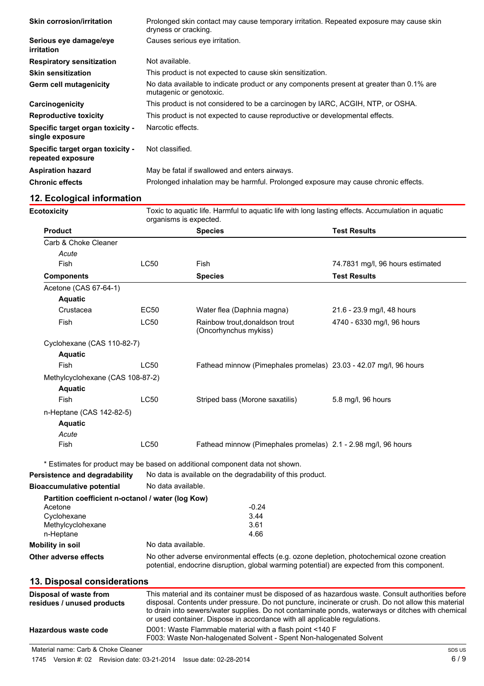| <b>Skin corrosion/irritation</b>                      | Prolonged skin contact may cause temporary irritation. Repeated exposure may cause skin<br>dryness or cracking.     |
|-------------------------------------------------------|---------------------------------------------------------------------------------------------------------------------|
| Serious eye damage/eye<br><i>irritation</i>           | Causes serious eye irritation.                                                                                      |
| <b>Respiratory sensitization</b>                      | Not available.                                                                                                      |
| <b>Skin sensitization</b>                             | This product is not expected to cause skin sensitization.                                                           |
| <b>Germ cell mutagenicity</b>                         | No data available to indicate product or any components present at greater than 0.1% are<br>mutagenic or genotoxic. |
| Carcinogenicity                                       | This product is not considered to be a carcinogen by IARC, ACGIH, NTP, or OSHA.                                     |
| <b>Reproductive toxicity</b>                          | This product is not expected to cause reproductive or developmental effects.                                        |
| Specific target organ toxicity -<br>single exposure   | Narcotic effects.                                                                                                   |
| Specific target organ toxicity -<br>repeated exposure | Not classified.                                                                                                     |
| <b>Aspiration hazard</b>                              | May be fatal if swallowed and enters airways.                                                                       |
| <b>Chronic effects</b>                                | Prolonged inhalation may be harmful. Prolonged exposure may cause chronic effects.                                  |
|                                                       |                                                                                                                     |

## **12. Ecological information**

**Ecotoxicity** The Toxic to aquatic life. Harmful to aquatic life with long lasting effects. Accumulation in aquatic organisms is expected.

| <b>Product</b>                   |             | <b>Species</b>                                                    | <b>Test Results</b>              |
|----------------------------------|-------------|-------------------------------------------------------------------|----------------------------------|
| Carb & Choke Cleaner             |             |                                                                   |                                  |
| Acute                            |             |                                                                   |                                  |
| Fish                             | LC50        | Fish                                                              | 74.7831 mg/l, 96 hours estimated |
| <b>Components</b>                |             | <b>Species</b>                                                    | <b>Test Results</b>              |
| Acetone (CAS 67-64-1)            |             |                                                                   |                                  |
| <b>Aquatic</b>                   |             |                                                                   |                                  |
| Crustacea                        | EC50        | Water flea (Daphnia magna)                                        | 21.6 - 23.9 mg/l, 48 hours       |
| Fish                             | <b>LC50</b> | Rainbow trout, donaldson trout<br>(Oncorhynchus mykiss)           | 4740 - 6330 mg/l, 96 hours       |
| Cyclohexane (CAS 110-82-7)       |             |                                                                   |                                  |
| <b>Aquatic</b>                   |             |                                                                   |                                  |
| Fish                             | LC50        | Fathead minnow (Pimephales promelas) 23.03 - 42.07 mg/l, 96 hours |                                  |
| Methylcyclohexane (CAS 108-87-2) |             |                                                                   |                                  |
| <b>Aquatic</b>                   |             |                                                                   |                                  |
| Fish                             | LC50        | Striped bass (Morone saxatilis)                                   | 5.8 mg/l, 96 hours               |
| n-Heptane (CAS 142-82-5)         |             |                                                                   |                                  |
| <b>Aquatic</b>                   |             |                                                                   |                                  |
| Acute                            |             |                                                                   |                                  |
| Fish                             | <b>LC50</b> | Fathead minnow (Pimephales promelas) 2.1 - 2.98 mg/l, 96 hours    |                                  |

\* Estimates for product may be based on additional component data not shown.

| Persistence and degradability                     | No data is available on the degradability of this product.                                                                                                                                 |  |  |
|---------------------------------------------------|--------------------------------------------------------------------------------------------------------------------------------------------------------------------------------------------|--|--|
| <b>Bioaccumulative potential</b>                  | No data available.                                                                                                                                                                         |  |  |
| Partition coefficient n-octanol / water (log Kow) |                                                                                                                                                                                            |  |  |
| Acetone                                           | $-0.24$                                                                                                                                                                                    |  |  |
| Cyclohexane                                       | 3.44                                                                                                                                                                                       |  |  |
| Methylcyclohexane                                 | 3.61                                                                                                                                                                                       |  |  |
| n-Heptane                                         | 4.66                                                                                                                                                                                       |  |  |
| Mobility in soil                                  | No data available.                                                                                                                                                                         |  |  |
| Other adverse effects                             | No other adverse environmental effects (e.g. ozone depletion, photochemical ozone creation<br>potential, endocrine disruption, global warming potential) are expected from this component. |  |  |
| 13. Disposal considerations                       |                                                                                                                                                                                            |  |  |
| Disposal of waste from                            | This material and its container must be disposed of as hazardous waste. Consult authorities before                                                                                         |  |  |

| Disposal of waste from<br>residues / unused products | This material and its container must be disposed of as hazardous waste. Consult authorities before<br>disposal. Contents under pressure. Do not puncture, incinerate or crush. Do not allow this material<br>to drain into sewers/water supplies. Do not contaminate ponds, waterways or ditches with chemical<br>or used container. Dispose in accordance with all applicable regulations. |
|------------------------------------------------------|---------------------------------------------------------------------------------------------------------------------------------------------------------------------------------------------------------------------------------------------------------------------------------------------------------------------------------------------------------------------------------------------|
| Hazardous waste code                                 | D001: Waste Flammable material with a flash point <140 F<br>F003: Waste Non-halogenated Solvent - Spent Non-halogenated Solvent                                                                                                                                                                                                                                                             |
|                                                      |                                                                                                                                                                                                                                                                                                                                                                                             |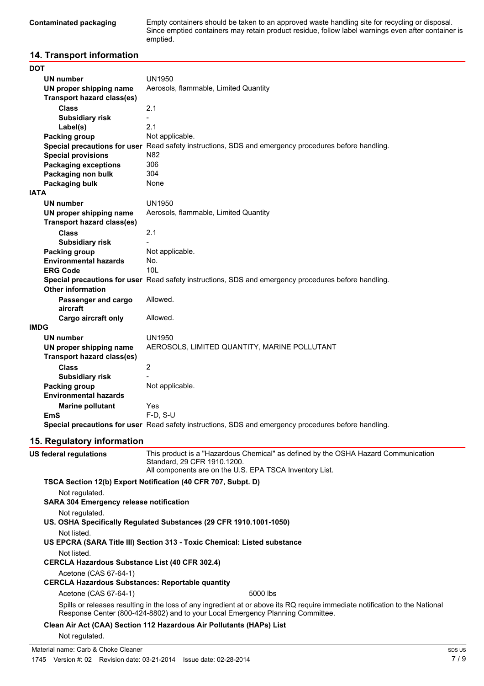**Contaminated packaging** Empty containers should be taken to an approved waste handling site for recycling or disposal. Since emptied containers may retain product residue, follow label warnings even after container is emptied.

## **14. Transport information**

| DOT                               |                                                                                                      |
|-----------------------------------|------------------------------------------------------------------------------------------------------|
| <b>UN number</b>                  | UN1950                                                                                               |
| UN proper shipping name           | Aerosols, flammable, Limited Quantity                                                                |
| <b>Transport hazard class(es)</b> |                                                                                                      |
| <b>Class</b>                      | 2.1                                                                                                  |
| <b>Subsidiary risk</b>            |                                                                                                      |
| Label(s)                          | 2.1                                                                                                  |
| Packing group                     | Not applicable.                                                                                      |
|                                   | Special precautions for user Read safety instructions, SDS and emergency procedures before handling. |
| <b>Special provisions</b>         | N82                                                                                                  |
| <b>Packaging exceptions</b>       | 306                                                                                                  |
| Packaging non bulk                | 304                                                                                                  |
| Packaging bulk                    | None                                                                                                 |
| <b>IATA</b>                       |                                                                                                      |
| <b>UN number</b>                  | <b>UN1950</b>                                                                                        |
| UN proper shipping name           | Aerosols, flammable, Limited Quantity                                                                |
| <b>Transport hazard class(es)</b> |                                                                                                      |
| <b>Class</b>                      | 2.1                                                                                                  |
| <b>Subsidiary risk</b>            |                                                                                                      |
| Packing group                     | Not applicable.                                                                                      |
| <b>Environmental hazards</b>      | No.                                                                                                  |
| <b>ERG Code</b>                   | 10I                                                                                                  |
|                                   | Special precautions for user Read safety instructions, SDS and emergency procedures before handling. |
| <b>Other information</b>          |                                                                                                      |
| Passenger and cargo               | Allowed.                                                                                             |
| aircraft                          |                                                                                                      |
| <b>Cargo aircraft only</b>        | Allowed.                                                                                             |
| <b>IMDG</b>                       |                                                                                                      |
| <b>UN number</b>                  | <b>UN1950</b>                                                                                        |
| UN proper shipping name           | AEROSOLS, LIMITED QUANTITY, MARINE POLLUTANT                                                         |
| <b>Transport hazard class(es)</b> |                                                                                                      |
| <b>Class</b>                      | $\overline{2}$                                                                                       |
| <b>Subsidiary risk</b>            |                                                                                                      |
| Packing group                     | Not applicable.                                                                                      |
| <b>Environmental hazards</b>      |                                                                                                      |
| <b>Marine pollutant</b>           | Yes                                                                                                  |
| <b>EmS</b>                        | $F-D, S-U$                                                                                           |
|                                   | Special precautions for user Read safety instructions, SDS and emergency procedures before handling. |
|                                   |                                                                                                      |

## **15. Regulatory information**

| US federal regulations                                | This product is a "Hazardous Chemical" as defined by the OSHA Hazard Communication<br>Standard, 29 CFR 1910.1200.<br>All components are on the U.S. EPA TSCA Inventory List.                                   |
|-------------------------------------------------------|----------------------------------------------------------------------------------------------------------------------------------------------------------------------------------------------------------------|
|                                                       | TSCA Section 12(b) Export Notification (40 CFR 707, Subpt. D)                                                                                                                                                  |
| Not regulated.                                        |                                                                                                                                                                                                                |
| <b>SARA 304 Emergency release notification</b>        |                                                                                                                                                                                                                |
| Not regulated.                                        |                                                                                                                                                                                                                |
|                                                       | US. OSHA Specifically Regulated Substances (29 CFR 1910.1001-1050)                                                                                                                                             |
| Not listed.                                           |                                                                                                                                                                                                                |
|                                                       | US EPCRA (SARA Title III) Section 313 - Toxic Chemical: Listed substance                                                                                                                                       |
| Not listed.                                           |                                                                                                                                                                                                                |
| <b>CERCLA Hazardous Substance List (40 CFR 302.4)</b> |                                                                                                                                                                                                                |
| Acetone (CAS 67-64-1)                                 |                                                                                                                                                                                                                |
|                                                       | <b>CERCLA Hazardous Substances: Reportable quantity</b>                                                                                                                                                        |
| Acetone (CAS 67-64-1)                                 | 5000 lbs                                                                                                                                                                                                       |
|                                                       | Spills or releases resulting in the loss of any ingredient at or above its RQ require immediate notification to the National<br>Response Center (800-424-8802) and to your Local Emergency Planning Committee. |
|                                                       | Clean Air Act (CAA) Section 112 Hazardous Air Pollutants (HAPs) List                                                                                                                                           |
| Not regulated.                                        |                                                                                                                                                                                                                |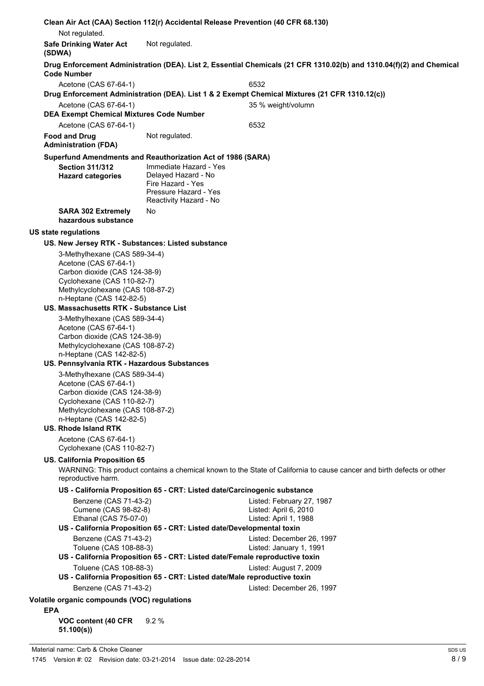|            |                                                                                                                                                                                                                      | Clean Air Act (CAA) Section 112(r) Accidental Release Prevention (40 CFR 68.130)                                      |                                                                                                                       |
|------------|----------------------------------------------------------------------------------------------------------------------------------------------------------------------------------------------------------------------|-----------------------------------------------------------------------------------------------------------------------|-----------------------------------------------------------------------------------------------------------------------|
|            | Not regulated.                                                                                                                                                                                                       |                                                                                                                       |                                                                                                                       |
| (SDWA)     | <b>Safe Drinking Water Act</b>                                                                                                                                                                                       | Not regulated.                                                                                                        |                                                                                                                       |
|            | <b>Code Number</b>                                                                                                                                                                                                   |                                                                                                                       | Drug Enforcement Administration (DEA). List 2, Essential Chemicals (21 CFR 1310.02(b) and 1310.04(f)(2) and Chemical  |
|            | Acetone (CAS 67-64-1)                                                                                                                                                                                                |                                                                                                                       | 6532<br>Drug Enforcement Administration (DEA). List 1 & 2 Exempt Chemical Mixtures (21 CFR 1310.12(c))                |
|            | Acetone (CAS 67-64-1)                                                                                                                                                                                                |                                                                                                                       | 35 % weight/volumn                                                                                                    |
|            | <b>DEA Exempt Chemical Mixtures Code Number</b>                                                                                                                                                                      |                                                                                                                       |                                                                                                                       |
|            | Acetone (CAS 67-64-1)                                                                                                                                                                                                |                                                                                                                       | 6532                                                                                                                  |
|            | <b>Food and Drug</b><br><b>Administration (FDA)</b>                                                                                                                                                                  | Not regulated.                                                                                                        |                                                                                                                       |
|            |                                                                                                                                                                                                                      | Superfund Amendments and Reauthorization Act of 1986 (SARA)                                                           |                                                                                                                       |
|            | <b>Section 311/312</b><br><b>Hazard categories</b>                                                                                                                                                                   | Immediate Hazard - Yes<br>Delayed Hazard - No<br>Fire Hazard - Yes<br>Pressure Hazard - Yes<br>Reactivity Hazard - No |                                                                                                                       |
|            | <b>SARA 302 Extremely</b><br>hazardous substance                                                                                                                                                                     | No.                                                                                                                   |                                                                                                                       |
|            | <b>US state regulations</b>                                                                                                                                                                                          |                                                                                                                       |                                                                                                                       |
|            | US. New Jersey RTK - Substances: Listed substance                                                                                                                                                                    |                                                                                                                       |                                                                                                                       |
|            | 3-Methylhexane (CAS 589-34-4)<br>Acetone (CAS 67-64-1)<br>Carbon dioxide (CAS 124-38-9)<br>Cyclohexane (CAS 110-82-7)<br>Methylcyclohexane (CAS 108-87-2)<br>n-Heptane (CAS 142-82-5)                                |                                                                                                                       |                                                                                                                       |
|            | US. Massachusetts RTK - Substance List                                                                                                                                                                               |                                                                                                                       |                                                                                                                       |
|            | 3-Methylhexane (CAS 589-34-4)<br>Acetone (CAS 67-64-1)<br>Carbon dioxide (CAS 124-38-9)<br>Methylcyclohexane (CAS 108-87-2)<br>n-Heptane (CAS 142-82-5)<br>US. Pennsylvania RTK - Hazardous Substances               |                                                                                                                       |                                                                                                                       |
|            | 3-Methylhexane (CAS 589-34-4)<br>Acetone (CAS 67-64-1)<br>Carbon dioxide (CAS 124-38-9)<br>Cyclohexane (CAS 110-82-7)<br>Methylcyclohexane (CAS 108-87-2)<br>n-Heptane (CAS 142-82-5)<br><b>US. Rhode Island RTK</b> |                                                                                                                       |                                                                                                                       |
|            | Acetone (CAS 67-64-1)<br>Cyclohexane (CAS 110-82-7)                                                                                                                                                                  |                                                                                                                       |                                                                                                                       |
|            | US. California Proposition 65<br>reproductive harm.                                                                                                                                                                  |                                                                                                                       | WARNING: This product contains a chemical known to the State of California to cause cancer and birth defects or other |
|            |                                                                                                                                                                                                                      | US - California Proposition 65 - CRT: Listed date/Carcinogenic substance                                              |                                                                                                                       |
|            | Benzene (CAS 71-43-2)<br>Cumene (CAS 98-82-8)<br>Ethanal (CAS 75-07-0)                                                                                                                                               | US - California Proposition 65 - CRT: Listed date/Developmental toxin                                                 | Listed: February 27, 1987<br>Listed: April 6, 2010<br>Listed: April 1, 1988                                           |
|            | Benzene (CAS 71-43-2)<br>Toluene (CAS 108-88-3)                                                                                                                                                                      | US - California Proposition 65 - CRT: Listed date/Female reproductive toxin                                           | Listed: December 26, 1997<br>Listed: January 1, 1991                                                                  |
|            | Toluene (CAS 108-88-3)                                                                                                                                                                                               | US - California Proposition 65 - CRT: Listed date/Male reproductive toxin                                             | Listed: August 7, 2009                                                                                                |
|            | Benzene (CAS 71-43-2)                                                                                                                                                                                                |                                                                                                                       | Listed: December 26, 1997                                                                                             |
| <b>EPA</b> | Volatile organic compounds (VOC) regulations                                                                                                                                                                         |                                                                                                                       |                                                                                                                       |

**VOC content (40 CFR 51.100(s))** 9.2 %